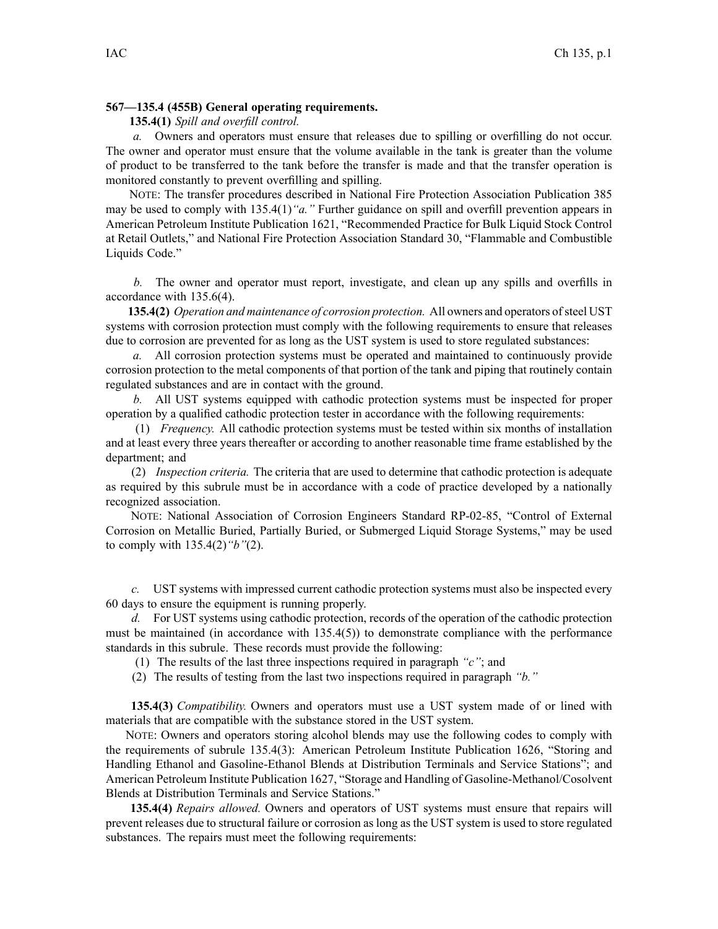## **567—135.4 (455B) General operating requirements.**

**135.4(1)** *Spill and overfill control.*

*a.* Owners and operators must ensure that releases due to spilling or overfilling do not occur. The owner and operator must ensure that the volume available in the tank is greater than the volume of product to be transferred to the tank before the transfer is made and that the transfer operation is monitored constantly to preven<sup>t</sup> overfilling and spilling.

NOTE: The transfer procedures described in National Fire Protection Association Publication 385 may be used to comply with 135.4(1)*"a."* Further guidance on spill and overfill prevention appears in American Petroleum Institute Publication 1621, "Recommended Practice for Bulk Liquid Stock Control at Retail Outlets," and National Fire Protection Association Standard 30, "Flammable and Combustible Liquids Code."

*b.* The owner and operator must report, investigate, and clean up any spills and overfills in accordance with 135.6(4).

**135.4(2)** *Operation and maintenance of corrosion protection.* All owners and operators ofsteel UST systems with corrosion protection must comply with the following requirements to ensure that releases due to corrosion are prevented for as long as the UST system is used to store regulated substances:

*a.* All corrosion protection systems must be operated and maintained to continuously provide corrosion protection to the metal components of that portion of the tank and piping that routinely contain regulated substances and are in contact with the ground.

*b.* All UST systems equipped with cathodic protection systems must be inspected for proper operation by <sup>a</sup> qualified cathodic protection tester in accordance with the following requirements:

(1) *Frequency.* All cathodic protection systems must be tested within six months of installation and at least every three years thereafter or according to another reasonable time frame established by the department; and

(2) *Inspection criteria.* The criteria that are used to determine that cathodic protection is adequate as required by this subrule must be in accordance with <sup>a</sup> code of practice developed by <sup>a</sup> nationally recognized association.

NOTE: National Association of Corrosion Engineers Standard RP-02-85, "Control of External Corrosion on Metallic Buried, Partially Buried, or Submerged Liquid Storage Systems," may be used to comply with 135.4(2)*"b"*(2).

*c.* UST systems with impressed current cathodic protection systems must also be inspected every 60 days to ensure the equipment is running properly.

*d.* For UST systems using cathodic protection, records of the operation of the cathodic protection must be maintained (in accordance with 135.4(5)) to demonstrate compliance with the performance standards in this subrule. These records must provide the following:

(1) The results of the last three inspections required in paragraph *"c"*; and

(2) The results of testing from the last two inspections required in paragraph *"b."*

**135.4(3)** *Compatibility.* Owners and operators must use <sup>a</sup> UST system made of or lined with materials that are compatible with the substance stored in the UST system.

NOTE: Owners and operators storing alcohol blends may use the following codes to comply with the requirements of subrule 135.4(3): American Petroleum Institute Publication 1626, "Storing and Handling Ethanol and Gasoline-Ethanol Blends at Distribution Terminals and Service Stations"; and American Petroleum Institute Publication 1627, "Storage and Handling of Gasoline-Methanol/Cosolvent Blends at Distribution Terminals and Service Stations."

**135.4(4)** *Repairs allowed.* Owners and operators of UST systems must ensure that repairs will preven<sup>t</sup> releases due to structural failure or corrosion as long as the UST system is used to store regulated substances. The repairs must meet the following requirements: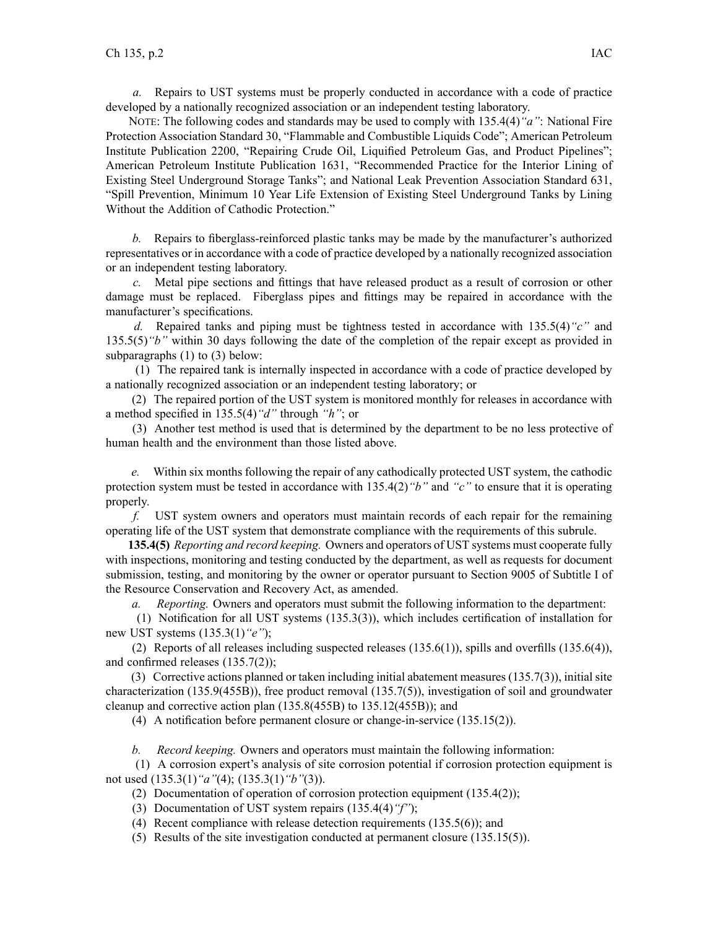*a.* Repairs to UST systems must be properly conducted in accordance with <sup>a</sup> code of practice developed by <sup>a</sup> nationally recognized association or an independent testing laboratory.

NOTE: The following codes and standards may be used to comply with 135.4(4)*"a"*: National Fire Protection Association Standard 30, "Flammable and Combustible Liquids Code"; American Petroleum Institute Publication 2200, "Repairing Crude Oil, Liquified Petroleum Gas, and Product Pipelines"; American Petroleum Institute Publication 1631, "Recommended Practice for the Interior Lining of Existing Steel Underground Storage Tanks"; and National Leak Prevention Association Standard 631, "Spill Prevention, Minimum 10 Year Life Extension of Existing Steel Underground Tanks by Lining Without the Addition of Cathodic Protection."

*b.* Repairs to fiberglass-reinforced plastic tanks may be made by the manufacturer's authorized representatives or in accordance with <sup>a</sup> code of practice developed by <sup>a</sup> nationally recognized association or an independent testing laboratory.

*c.* Metal pipe sections and fittings that have released product as <sup>a</sup> result of corrosion or other damage must be replaced. Fiberglass pipes and fittings may be repaired in accordance with the manufacturer's specifications.

*d.* Repaired tanks and piping must be tightness tested in accordance with 135.5(4)*"c"* and 135.5(5)*"b"* within 30 days following the date of the completion of the repair excep<sup>t</sup> as provided in subparagraphs (1) to (3) below:

(1) The repaired tank is internally inspected in accordance with <sup>a</sup> code of practice developed by <sup>a</sup> nationally recognized association or an independent testing laboratory; or

(2) The repaired portion of the UST system is monitored monthly for releases in accordance with <sup>a</sup> method specified in 135.5(4)*"d"* through *"h"*; or

(3) Another test method is used that is determined by the department to be no less protective of human health and the environment than those listed above.

*e.* Within six months following the repair of any cathodically protected UST system, the cathodic protection system must be tested in accordance with 135.4(2)*"b"* and *"c"* to ensure that it is operating properly.

*f.* UST system owners and operators must maintain records of each repair for the remaining operating life of the UST system that demonstrate compliance with the requirements of this subrule.

**135.4(5)** *Reporting and record keeping.* Owners and operators of UST systems must cooperate fully with inspections, monitoring and testing conducted by the department, as well as requests for document submission, testing, and monitoring by the owner or operator pursuan<sup>t</sup> to Section 9005 of Subtitle I of the Resource Conservation and Recovery Act, as amended.

*a. Reporting.* Owners and operators must submit the following information to the department:

(1) Notification for all UST systems (135.3(3)), which includes certification of installation for new UST systems (135.3(1)*"e"*);

(2) Reports of all releases including suspected releases (135.6(1)), spills and overfills (135.6(4)), and confirmed releases (135.7(2));

(3) Corrective actions planned or taken including initial abatement measures (135.7(3)), initial site characterization (135.9(455B)), free product removal (135.7(5)), investigation of soil and groundwater cleanup and corrective action plan (135.8(455B) to 135.12(455B)); and

(4) A notification before permanen<sup>t</sup> closure or change-in-service (135.15(2)).

*b. Record keeping.* Owners and operators must maintain the following information:

(1) A corrosion expert's analysis of site corrosion potential if corrosion protection equipment is not used (135.3(1)*"a"*(4); (135.3(1)*"b"*(3)).

(2) Documentation of operation of corrosion protection equipment (135.4(2));

(3) Documentation of UST system repairs (135.4(4)*"f"*);

(4) Recent compliance with release detection requirements (135.5(6)); and

(5) Results of the site investigation conducted at permanen<sup>t</sup> closure (135.15(5)).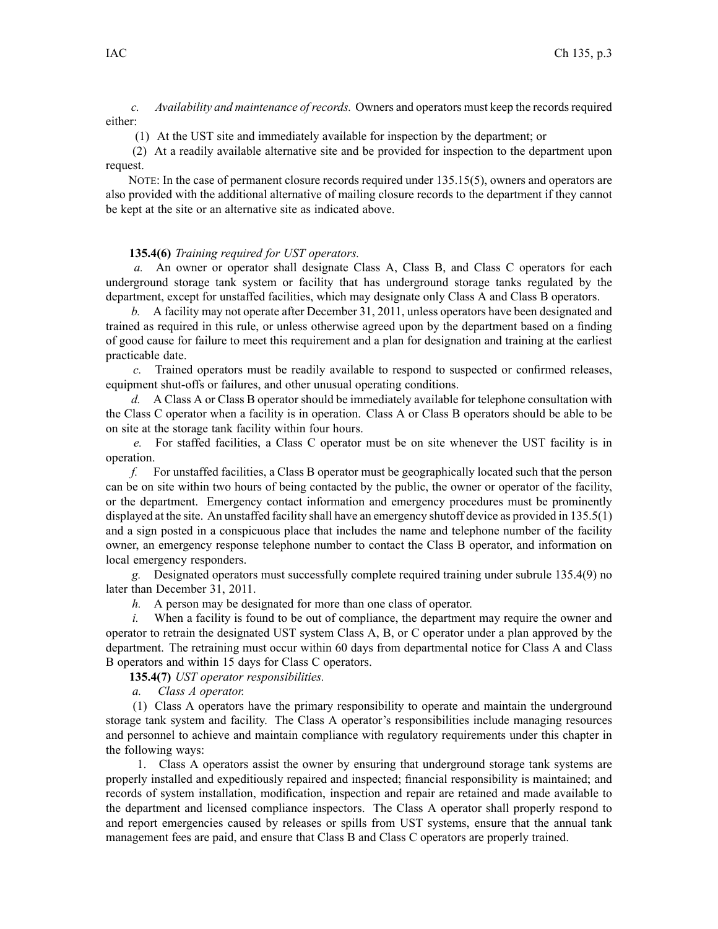*c. Availability and maintenance ofrecords.* Owners and operators must keep the recordsrequired either:

(1) At the UST site and immediately available for inspection by the department; or

(2) At <sup>a</sup> readily available alternative site and be provided for inspection to the department upon request.

NOTE: In the case of permanen<sup>t</sup> closure records required under 135.15(5), owners and operators are also provided with the additional alternative of mailing closure records to the department if they cannot be kept at the site or an alternative site as indicated above.

## **135.4(6)** *Training required for UST operators.*

*a.* An owner or operator shall designate Class A, Class B, and Class C operators for each underground storage tank system or facility that has underground storage tanks regulated by the department, excep<sup>t</sup> for unstaffed facilities, which may designate only Class A and Class B operators.

*b.* A facility may not operate after December 31, 2011, unless operators have been designated and trained as required in this rule, or unless otherwise agreed upon by the department based on <sup>a</sup> finding of good cause for failure to meet this requirement and <sup>a</sup> plan for designation and training at the earliest practicable date.

*c.* Trained operators must be readily available to respond to suspected or confirmed releases, equipment shut-offs or failures, and other unusual operating conditions.

*d.* A Class A or Class B operator should be immediately available for telephone consultation with the Class C operator when <sup>a</sup> facility is in operation. Class A or Class B operators should be able to be on site at the storage tank facility within four hours.

*e.* For staffed facilities, <sup>a</sup> Class C operator must be on site whenever the UST facility is in operation.

*f.* For unstaffed facilities, <sup>a</sup> Class B operator must be geographically located such that the person can be on site within two hours of being contacted by the public, the owner or operator of the facility, or the department. Emergency contact information and emergency procedures must be prominently displayed at the site. An unstaffed facility shall have an emergency shutoff device as provided in 135.5(1) and <sup>a</sup> sign posted in <sup>a</sup> conspicuous place that includes the name and telephone number of the facility owner, an emergency response telephone number to contact the Class B operator, and information on local emergency responders.

*g.* Designated operators must successfully complete required training under subrule 135.4(9) no later than December 31, 2011.

*h.* A person may be designated for more than one class of operator.

When a facility is found to be out of compliance, the department may require the owner and operator to retrain the designated UST system Class A, B, or C operator under <sup>a</sup> plan approved by the department. The retraining must occur within 60 days from departmental notice for Class A and Class B operators and within 15 days for Class C operators.

**135.4(7)** *UST operator responsibilities.*

*a. Class A operator.*

(1) Class A operators have the primary responsibility to operate and maintain the underground storage tank system and facility. The Class A operator's responsibilities include managing resources and personnel to achieve and maintain compliance with regulatory requirements under this chapter in the following ways:

1. Class A operators assist the owner by ensuring that underground storage tank systems are properly installed and expeditiously repaired and inspected; financial responsibility is maintained; and records of system installation, modification, inspection and repair are retained and made available to the department and licensed compliance inspectors. The Class A operator shall properly respond to and repor<sup>t</sup> emergencies caused by releases or spills from UST systems, ensure that the annual tank managemen<sup>t</sup> fees are paid, and ensure that Class B and Class C operators are properly trained.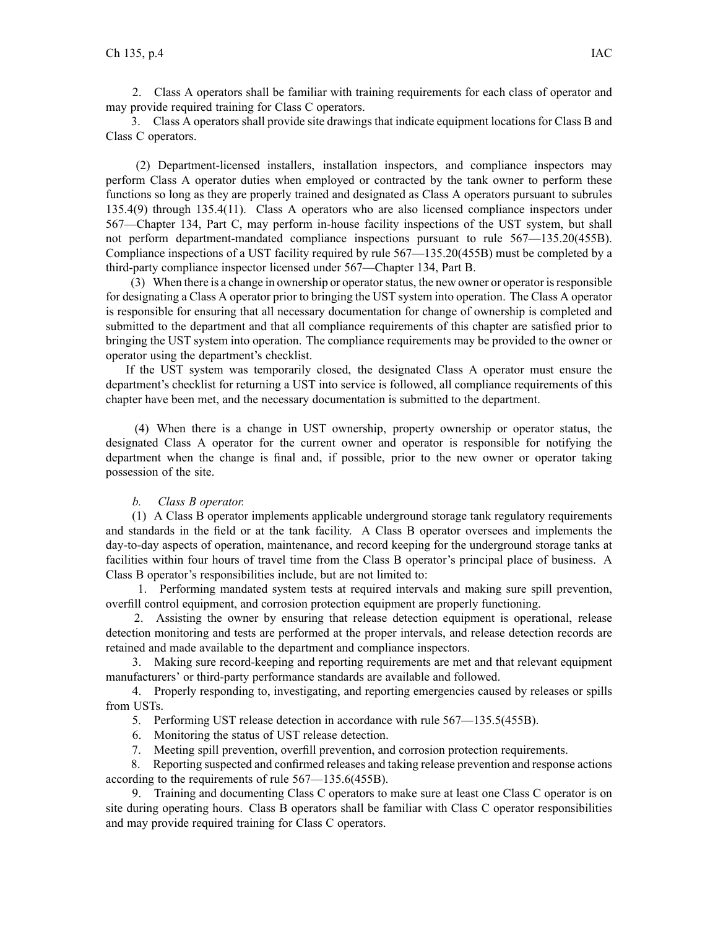2. Class A operators shall be familiar with training requirements for each class of operator and may provide required training for Class C operators.

3. Class A operators shall provide site drawings that indicate equipment locations for Class B and Class C operators.

(2) Department-licensed installers, installation inspectors, and compliance inspectors may perform Class A operator duties when employed or contracted by the tank owner to perform these functions so long as they are properly trained and designated as Class A operators pursuan<sup>t</sup> to subrules 135.4(9) through 135.4(11). Class A operators who are also licensed compliance inspectors under 567—Chapter 134, Part C, may perform in-house facility inspections of the UST system, but shall not perform department-mandated compliance inspections pursuan<sup>t</sup> to rule 567—135.20(455B). Compliance inspections of <sup>a</sup> UST facility required by rule 567—135.20(455B) must be completed by <sup>a</sup> third-party compliance inspector licensed under 567—Chapter 134, Part B.

(3) When there is <sup>a</sup> change in ownership or operatorstatus, the new owner or operator isresponsible for designating <sup>a</sup> Class A operator prior to bringing the UST system into operation. The Class A operator is responsible for ensuring that all necessary documentation for change of ownership is completed and submitted to the department and that all compliance requirements of this chapter are satisfied prior to bringing the UST system into operation. The compliance requirements may be provided to the owner or operator using the department's checklist.

If the UST system was temporarily closed, the designated Class A operator must ensure the department's checklist for returning <sup>a</sup> UST into service is followed, all compliance requirements of this chapter have been met, and the necessary documentation is submitted to the department.

(4) When there is <sup>a</sup> change in UST ownership, property ownership or operator status, the designated Class A operator for the current owner and operator is responsible for notifying the department when the change is final and, if possible, prior to the new owner or operator taking possession of the site.

## *b. Class B operator.*

(1) A Class B operator implements applicable underground storage tank regulatory requirements and standards in the field or at the tank facility. A Class B operator oversees and implements the day-to-day aspects of operation, maintenance, and record keeping for the underground storage tanks at facilities within four hours of travel time from the Class B operator's principal place of business. A Class B operator's responsibilities include, but are not limited to:

1. Performing mandated system tests at required intervals and making sure spill prevention, overfill control equipment, and corrosion protection equipment are properly functioning.

2. Assisting the owner by ensuring that release detection equipment is operational, release detection monitoring and tests are performed at the proper intervals, and release detection records are retained and made available to the department and compliance inspectors.

3. Making sure record-keeping and reporting requirements are met and that relevant equipment manufacturers' or third-party performance standards are available and followed.

4. Properly responding to, investigating, and reporting emergencies caused by releases or spills from USTs.

5. Performing UST release detection in accordance with rule 567—135.5(455B).

6. Monitoring the status of UST release detection.

7. Meeting spill prevention, overfill prevention, and corrosion protection requirements.

8. Reporting suspected and confirmed releases and taking release prevention and response actions according to the requirements of rule 567—135.6(455B).

9. Training and documenting Class C operators to make sure at least one Class C operator is on site during operating hours. Class B operators shall be familiar with Class C operator responsibilities and may provide required training for Class C operators.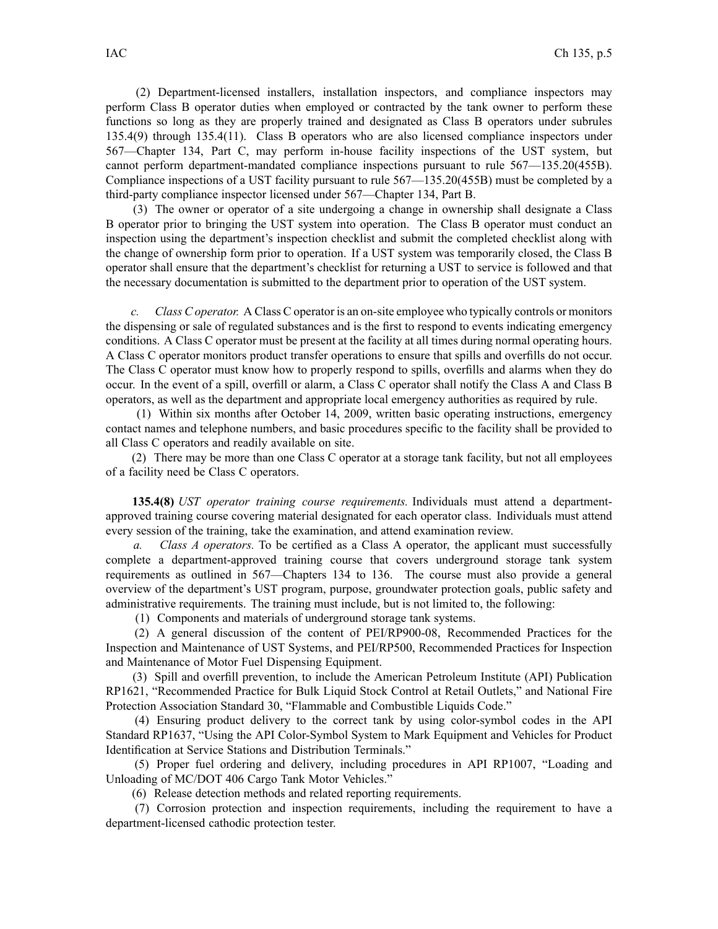(2) Department-licensed installers, installation inspectors, and compliance inspectors may perform Class B operator duties when employed or contracted by the tank owner to perform these functions so long as they are properly trained and designated as Class B operators under subrules 135.4(9) through 135.4(11). Class B operators who are also licensed compliance inspectors under 567—Chapter 134, Part C, may perform in-house facility inspections of the UST system, but cannot perform department-mandated compliance inspections pursuan<sup>t</sup> to rule 567—135.20(455B). Compliance inspections of <sup>a</sup> UST facility pursuan<sup>t</sup> to rule 567—135.20(455B) must be completed by <sup>a</sup> third-party compliance inspector licensed under 567—Chapter 134, Part B.

(3) The owner or operator of <sup>a</sup> site undergoing <sup>a</sup> change in ownership shall designate <sup>a</sup> Class B operator prior to bringing the UST system into operation. The Class B operator must conduct an inspection using the department's inspection checklist and submit the completed checklist along with the change of ownership form prior to operation. If <sup>a</sup> UST system was temporarily closed, the Class B operator shall ensure that the department's checklist for returning <sup>a</sup> UST to service is followed and that the necessary documentation is submitted to the department prior to operation of the UST system.

*c. Class C operator.* A Class C operator is an on-site employee who typically controls or monitors the dispensing or sale of regulated substances and is the first to respond to events indicating emergency conditions. A Class C operator must be presen<sup>t</sup> at the facility at all times during normal operating hours. A Class C operator monitors product transfer operations to ensure that spills and overfills do not occur. The Class C operator must know how to properly respond to spills, overfills and alarms when they do occur. In the event of <sup>a</sup> spill, overfill or alarm, <sup>a</sup> Class C operator shall notify the Class A and Class B operators, as well as the department and appropriate local emergency authorities as required by rule.

(1) Within six months after October 14, 2009, written basic operating instructions, emergency contact names and telephone numbers, and basic procedures specific to the facility shall be provided to all Class C operators and readily available on site.

(2) There may be more than one Class C operator at <sup>a</sup> storage tank facility, but not all employees of <sup>a</sup> facility need be Class C operators.

**135.4(8)** *UST operator training course requirements.* Individuals must attend <sup>a</sup> departmentapproved training course covering material designated for each operator class. Individuals must attend every session of the training, take the examination, and attend examination review.

*a. Class A operators.* To be certified as <sup>a</sup> Class A operator, the applicant must successfully complete <sup>a</sup> department-approved training course that covers underground storage tank system requirements as outlined in 567—Chapters 134 to 136. The course must also provide <sup>a</sup> general overview of the department's UST program, purpose, groundwater protection goals, public safety and administrative requirements. The training must include, but is not limited to, the following:

(1) Components and materials of underground storage tank systems.

(2) A general discussion of the content of PEI/RP900-08, Recommended Practices for the Inspection and Maintenance of UST Systems, and PEI/RP500, Recommended Practices for Inspection and Maintenance of Motor Fuel Dispensing Equipment.

(3) Spill and overfill prevention, to include the American Petroleum Institute (API) Publication RP1621, "Recommended Practice for Bulk Liquid Stock Control at Retail Outlets," and National Fire Protection Association Standard 30, "Flammable and Combustible Liquids Code."

(4) Ensuring product delivery to the correct tank by using color-symbol codes in the API Standard RP1637, "Using the API Color-Symbol System to Mark Equipment and Vehicles for Product Identification at Service Stations and Distribution Terminals."

(5) Proper fuel ordering and delivery, including procedures in API RP1007, "Loading and Unloading of MC/DOT 406 Cargo Tank Motor Vehicles."

(6) Release detection methods and related reporting requirements.

(7) Corrosion protection and inspection requirements, including the requirement to have <sup>a</sup> department-licensed cathodic protection tester.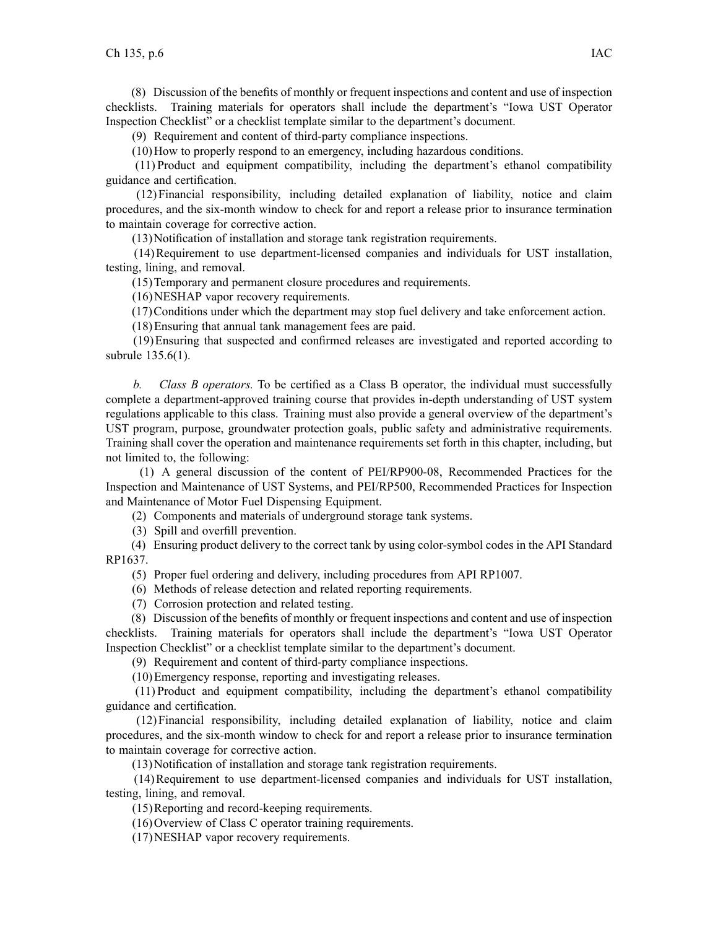(8) Discussion of the benefits of monthly or frequent inspections and content and use of inspection checklists. Training materials for operators shall include the department's "Iowa UST Operator Inspection Checklist" or <sup>a</sup> checklist template similar to the department's document.

(9) Requirement and content of third-party compliance inspections.

(10)How to properly respond to an emergency, including hazardous conditions.

(11) Product and equipment compatibility, including the department's ethanol compatibility guidance and certification.

(12)Financial responsibility, including detailed explanation of liability, notice and claim procedures, and the six-month window to check for and repor<sup>t</sup> <sup>a</sup> release prior to insurance termination to maintain coverage for corrective action.

(13)Notification of installation and storage tank registration requirements.

(14)Requirement to use department-licensed companies and individuals for UST installation, testing, lining, and removal.

(15)Temporary and permanen<sup>t</sup> closure procedures and requirements.

(16)NESHAP vapor recovery requirements.

(17)Conditions under which the department may stop fuel delivery and take enforcement action.

(18)Ensuring that annual tank managemen<sup>t</sup> fees are paid.

(19)Ensuring that suspected and confirmed releases are investigated and reported according to subrule 135.6(1).

*b. Class B operators.* To be certified as <sup>a</sup> Class B operator, the individual must successfully complete <sup>a</sup> department-approved training course that provides in-depth understanding of UST system regulations applicable to this class. Training must also provide <sup>a</sup> general overview of the department's UST program, purpose, groundwater protection goals, public safety and administrative requirements. Training shall cover the operation and maintenance requirements set forth in this chapter, including, but not limited to, the following:

(1) A general discussion of the content of PEI/RP900-08, Recommended Practices for the Inspection and Maintenance of UST Systems, and PEI/RP500, Recommended Practices for Inspection and Maintenance of Motor Fuel Dispensing Equipment.

(2) Components and materials of underground storage tank systems.

(3) Spill and overfill prevention.

(4) Ensuring product delivery to the correct tank by using color-symbol codes in the API Standard RP1637.

(5) Proper fuel ordering and delivery, including procedures from API RP1007.

(6) Methods of release detection and related reporting requirements.

(7) Corrosion protection and related testing.

(8) Discussion of the benefits of monthly or frequent inspections and content and use of inspection checklists. Training materials for operators shall include the department's "Iowa UST Operator Inspection Checklist" or <sup>a</sup> checklist template similar to the department's document.

(9) Requirement and content of third-party compliance inspections.

(10)Emergency response, reporting and investigating releases.

(11) Product and equipment compatibility, including the department's ethanol compatibility guidance and certification.

(12)Financial responsibility, including detailed explanation of liability, notice and claim procedures, and the six-month window to check for and repor<sup>t</sup> <sup>a</sup> release prior to insurance termination to maintain coverage for corrective action.

(13)Notification of installation and storage tank registration requirements.

(14)Requirement to use department-licensed companies and individuals for UST installation, testing, lining, and removal.

(15)Reporting and record-keeping requirements.

(16)Overview of Class C operator training requirements.

(17)NESHAP vapor recovery requirements.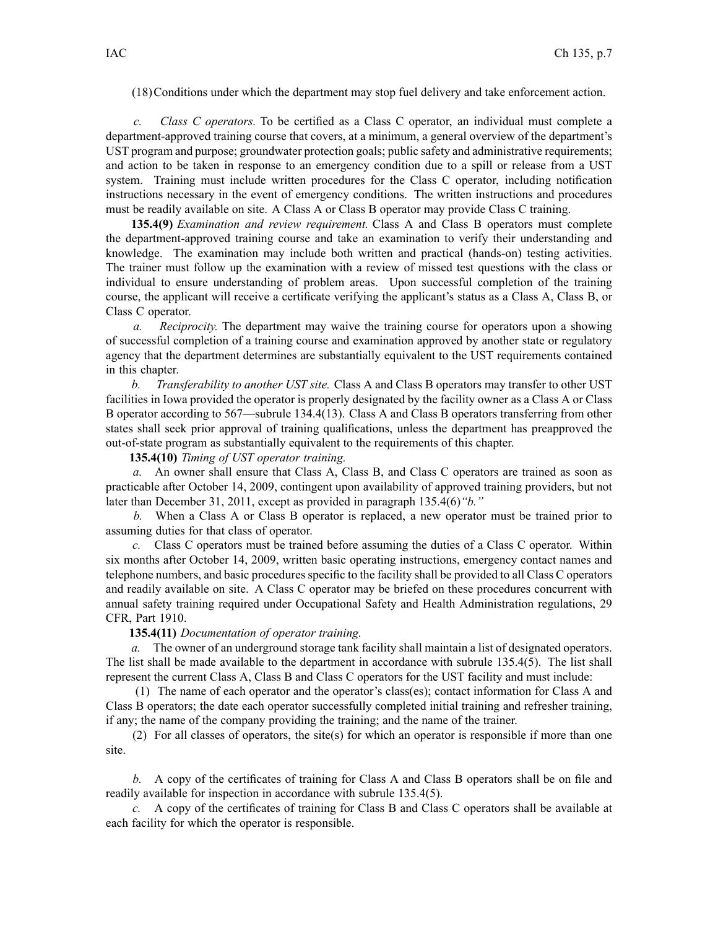(18)Conditions under which the department may stop fuel delivery and take enforcement action.

*c. Class C operators.* To be certified as <sup>a</sup> Class C operator, an individual must complete <sup>a</sup> department-approved training course that covers, at <sup>a</sup> minimum, <sup>a</sup> general overview of the department's UST program and purpose; groundwater protection goals; public safety and administrative requirements; and action to be taken in response to an emergency condition due to <sup>a</sup> spill or release from <sup>a</sup> UST system. Training must include written procedures for the Class C operator, including notification instructions necessary in the event of emergency conditions. The written instructions and procedures must be readily available on site. A Class A or Class B operator may provide Class C training.

**135.4(9)** *Examination and review requirement.* Class A and Class B operators must complete the department-approved training course and take an examination to verify their understanding and knowledge. The examination may include both written and practical (hands-on) testing activities. The trainer must follow up the examination with <sup>a</sup> review of missed test questions with the class or individual to ensure understanding of problem areas. Upon successful completion of the training course, the applicant will receive <sup>a</sup> certificate verifying the applicant's status as <sup>a</sup> Class A, Class B, or Class C operator.

*a. Reciprocity.* The department may waive the training course for operators upon <sup>a</sup> showing of successful completion of <sup>a</sup> training course and examination approved by another state or regulatory agency that the department determines are substantially equivalent to the UST requirements contained in this chapter.

*b. Transferability to another UST site.* Class A and Class B operators may transfer to other UST facilities in Iowa provided the operator is properly designated by the facility owner as <sup>a</sup> Class A or Class B operator according to 567—subrule 134.4(13). Class A and Class B operators transferring from other states shall seek prior approval of training qualifications, unless the department has preapproved the out-of-state program as substantially equivalent to the requirements of this chapter.

**135.4(10)** *Timing of UST operator training.*

*a.* An owner shall ensure that Class A, Class B, and Class C operators are trained as soon as practicable after October 14, 2009, contingent upon availability of approved training providers, but not later than December 31, 2011, excep<sup>t</sup> as provided in paragraph 135.4(6)*"b."*

*b.* When <sup>a</sup> Class A or Class B operator is replaced, <sup>a</sup> new operator must be trained prior to assuming duties for that class of operator.

*c.* Class C operators must be trained before assuming the duties of <sup>a</sup> Class C operator. Within six months after October 14, 2009, written basic operating instructions, emergency contact names and telephone numbers, and basic procedures specific to the facility shall be provided to all Class C operators and readily available on site. A Class C operator may be briefed on these procedures concurrent with annual safety training required under Occupational Safety and Health Administration regulations, 29 CFR, Part 1910.

## **135.4(11)** *Documentation of operator training.*

*a.* The owner of an underground storage tank facility shall maintain <sup>a</sup> list of designated operators. The list shall be made available to the department in accordance with subrule 135.4(5). The list shall represen<sup>t</sup> the current Class A, Class B and Class C operators for the UST facility and must include:

(1) The name of each operator and the operator's class(es); contact information for Class A and Class B operators; the date each operator successfully completed initial training and refresher training, if any; the name of the company providing the training; and the name of the trainer.

(2) For all classes of operators, the site(s) for which an operator is responsible if more than one site.

*b.* A copy of the certificates of training for Class A and Class B operators shall be on file and readily available for inspection in accordance with subrule 135.4(5).

*c.* A copy of the certificates of training for Class B and Class C operators shall be available at each facility for which the operator is responsible.